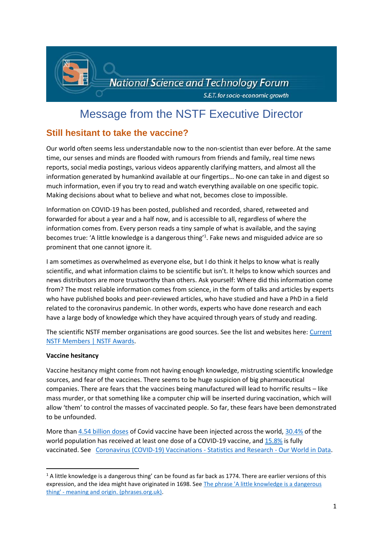

# Message from the NSTF Executive Director

# **Still hesitant to take the vaccine?**

Our world often seems less understandable now to the non-scientist than ever before. At the same time, our senses and minds are flooded with rumours from friends and family, real time news reports, social media postings, various videos apparently clarifying matters, and almost all the information generated by humankind available at our fingertips… No-one can take in and digest so much information, even if you try to read and watch everything available on one specific topic. Making decisions about what to believe and what not, becomes close to impossible.

Information on COVID-19 has been posted, published and recorded, shared, retweeted and forwarded for about a year and a half now, and is accessible to all, regardless of where the information comes from. Every person reads a tiny sample of what is available, and the saying becomes true: 'A little knowledge is a dangerous thing'<sup>1</sup>. Fake news and misguided advice are so prominent that one cannot ignore it.

I am sometimes as overwhelmed as everyone else, but I do think it helps to know what is really scientific, and what information claims to be scientific but isn't. It helps to know which sources and news distributors are more trustworthy than others. Ask yourself: Where did this information come from? The most reliable information comes from science, in the form of talks and articles by experts who have published books and peer-reviewed articles, who have studied and have a PhD in a field related to the coronavirus pandemic. In other words, experts who have done research and each have a large body of knowledge which they have acquired through years of study and reading.

The scientific NSTF member organisations are good sources. See the list and websites here[: Current](http://www.nstf.org.za/memberships/current-members/)  [NSTF Members | NSTF Awards.](http://www.nstf.org.za/memberships/current-members/)

## **Vaccine hesitancy**

**.** 

Vaccine hesitancy might come from not having enough knowledge, mistrusting scientific knowledge sources, and fear of the vaccines. There seems to be huge suspicion of big pharmaceutical companies. There are fears that the vaccines being manufactured will lead to horrific results – like mass murder, or that something like a computer chip will be inserted during vaccination, which will allow 'them' to control the masses of vaccinated people. So far, these fears have been demonstrated to be unfounded.

More than [4.54 billion doses](https://ourworldindata.org/explorers/coronavirus-data-explorer?zoomToSelection=true&pickerSort=asc&pickerMetric=location&Interval=Cumulative&Relative+to+Population=false&Align+outbreaks=false&country=~OWID_WRL&Metric=Vaccine+doses) of Covid vaccine have been injected across the world[, 30.4%](https://ourworldindata.org/covid-vaccinations?country=OWID_WRL#what-share-of-the-population-has-received-at-least-one-dose-of-the-covid-19-vaccine) of the world population has received at least one dose of a COVID-19 vaccine, and [15.8%](https://ourworldindata.org/covid-vaccinations?country=OWID_WRL#what-share-of-the-population-has-been-fully-vaccinated-against-covid-19) is fully vaccinated. See [Coronavirus \(COVID-19\) Vaccinations -](https://ourworldindata.org/covid-vaccinations?country=OWID_WRL) Statistics and Research - Our World in Data.

 $1$  A little knowledge is a dangerous thing' can be found as far back as 1774. There are earlier versions of this expression, and the idea might have originated in 1698. Se[e The phrase 'A little knowledge is a dangerous](https://www.phrases.org.uk/meanings/a-little-knowledge-is-a-dangerous-thing.html#:~:text=The%20proverb%20%27A%20little%20knowledge%20is%20a%20dangerous,are%2C%20which%20can%20lead%20to%20mistakes%20being%20made.)  thing' - [meaning and origin. \(phrases.org.uk\).](https://www.phrases.org.uk/meanings/a-little-knowledge-is-a-dangerous-thing.html#:~:text=The%20proverb%20%27A%20little%20knowledge%20is%20a%20dangerous,are%2C%20which%20can%20lead%20to%20mistakes%20being%20made.)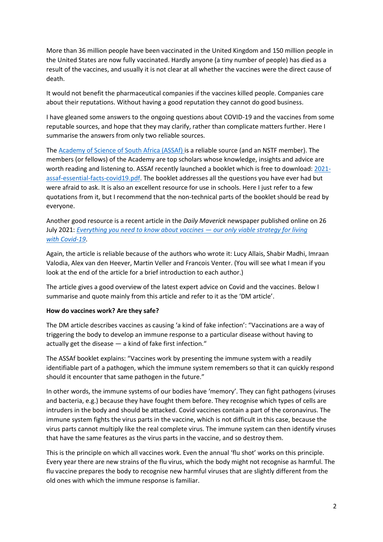More than 36 million people have been vaccinated in the United Kingdom and 150 million people in the United States are now fully vaccinated. Hardly anyone (a tiny number of people) has died as a result of the vaccines, and usually it is not clear at all whether the vaccines were the direct cause of death.

It would not benefit the pharmaceutical companies if the vaccines killed people. Companies care about their reputations. Without having a good reputation they cannot do good business.

I have gleaned some answers to the ongoing questions about COVID-19 and the vaccines from some reputable sources, and hope that they may clarify, rather than complicate matters further. Here I summarise the answers from only two reliable sources.

The [Academy of Science of South Africa \(ASSAf\) i](https://www.assaf.org.za/)s a reliable source (and an NSTF member). The members (or fellows) of the Academy are top scholars whose knowledge, insights and advice are worth reading and listening to. ASSAf recently launched a booklet which is free to download[: 2021](https://research.assaf.org.za/bitstream/handle/20.500.11911/194/2021-assaf-essential-facts-covid19.pdf?sequence=4&isAllowed=y) [assaf-essential-facts-covid19.pdf.](https://research.assaf.org.za/bitstream/handle/20.500.11911/194/2021-assaf-essential-facts-covid19.pdf?sequence=4&isAllowed=y) The booklet addresses all the questions you have ever had but were afraid to ask. It is also an excellent resource for use in schools. Here I just refer to a few quotations from it, but I recommend that the non-technical parts of the booklet should be read by everyone.

Another good resource is a recent article in the *Daily Maverick* newspaper published online on 26 July 2021: *[Everything you need to know about vaccines](https://www.dailymaverick.co.za/article/2021-07-26-everything-you-need-to-know-about-vaccines-our-only-viable-strategy-for-living-with-covid-19/) — our only viable strategy for living with [Covid-19](https://www.dailymaverick.co.za/article/2021-07-26-everything-you-need-to-know-about-vaccines-our-only-viable-strategy-for-living-with-covid-19/)*.

Again, the article is reliable because of the authors who wrote it: Lucy Allais, Shabir Madhi, Imraan Valodia, Alex van den Heever, Martin Veller and Francois Venter. (You will see what I mean if you look at the end of the article for a brief introduction to each author.)

The article gives a good overview of the latest expert advice on Covid and the vaccines. Below I summarise and quote mainly from this article and refer to it as the 'DM article'.

#### **How do vaccines work? Are they safe?**

The DM article describes vaccines as causing 'a kind of fake infection': "Vaccinations are a way of triggering the body to develop an immune response to a particular disease without having to actually get the disease — a kind of fake first infection."

The ASSAf booklet explains: "Vaccines work by presenting the immune system with a readily identifiable part of a pathogen, which the immune system remembers so that it can quickly respond should it encounter that same pathogen in the future."

In other words, the immune systems of our bodies have 'memory'. They can fight pathogens (viruses and bacteria, e.g.) because they have fought them before. They recognise which types of cells are intruders in the body and should be attacked. Covid vaccines contain a part of the coronavirus. The immune system fights the virus parts in the vaccine, which is not difficult in this case, because the virus parts cannot multiply like the real complete virus. The immune system can then identify viruses that have the same features as the virus parts in the vaccine, and so destroy them.

This is the principle on which all vaccines work. Even the annual 'flu shot' works on this principle. Every year there are new strains of the flu virus, which the body might not recognise as harmful. The flu vaccine prepares the body to recognise new harmful viruses that are slightly different from the old ones with which the immune response is familiar.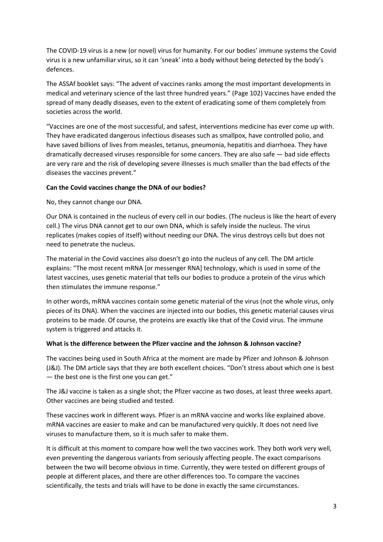The COVID-19 virus is a new (or novel) virus for humanity. For our bodies' immune systems the Covid virus is a new unfamiliar virus, so it can 'sneak' into a body without being detected by the body's defences.

The ASSAf booklet says: "The advent of vaccines ranks among the most important developments in medical and veterinary science of the last three hundred years." (Page 102) Vaccines have ended the spread of many deadly diseases, even to the extent of eradicating some of them completely from societies across the world.

"Vaccines are one of the most successful, and safest, interventions medicine has ever come up with. They have eradicated dangerous infectious diseases such as smallpox, have controlled polio, and have saved billions of lives from measles, tetanus, pneumonia, hepatitis and diarrhoea. They have dramatically decreased viruses responsible for some cancers. They are also safe — bad side effects are very rare and the risk of developing severe illnesses is much smaller than the bad effects of the diseases the vaccines prevent."

#### **Can the Covid vaccines change the DNA of our bodies?**

No, they cannot change our DNA.

Our DNA is contained in the nucleus of every cell in our bodies. (The nucleus is like the heart of every cell.) The virus DNA cannot get to our own DNA, which is safely inside the nucleus. The virus replicates (makes copies of itself) without needing our DNA. The virus destroys cells but does not need to penetrate the nucleus.

The material in the Covid vaccines also doesn't go into the nucleus of any cell. The DM article explains: "The most recent mRNA [or messenger RNA] technology, which is used in some of the latest vaccines, uses genetic material that tells our bodies to produce a protein of the virus which then stimulates the immune response."

In other words, mRNA vaccines contain some genetic material of the virus (not the whole virus, only pieces of its DNA). When the vaccines are injected into our bodies, this genetic material causes virus proteins to be made. Of course, the proteins are exactly like that of the Covid virus. The immune system is triggered and attacks it.

#### **What is the difference between the Pfizer vaccine and the Johnson & Johnson vaccine?**

The vaccines being used in South Africa at the moment are made by Pfizer and Johnson & Johnson (J&J). The DM article says that they are both excellent choices. "Don't stress about which one is best — the best one is the first one you can get."

The J&J vaccine is taken as a single shot; the Pfizer vaccine as two doses, at least three weeks apart. Other vaccines are being studied and tested.

These vaccines work in different ways. Pfizer is an mRNA vaccine and works like explained above. mRNA vaccines are easier to make and can be manufactured very quickly. It does not need live viruses to manufacture them, so it is much safer to make them.

It is difficult at this moment to compare how well the two vaccines work. They both work very well, even preventing the dangerous variants from seriously affecting people. The exact comparisons between the two will become obvious in time. Currently, they were tested on different groups of people at different places, and there are other differences too. To compare the vaccines scientifically, the tests and trials will have to be done in exactly the same circumstances.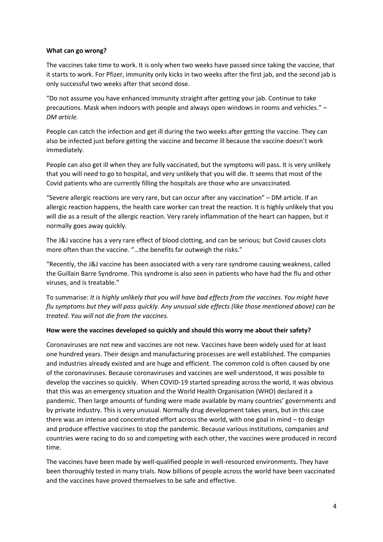#### **What can go wrong?**

The vaccines take time to work. It is only when two weeks have passed since taking the vaccine, that it starts to work. For Pfizer, immunity only kicks in two weeks after the first jab, and the second jab is only successful two weeks after that second dose.

"Do not assume you have enhanced immunity straight after getting your jab. Continue to take precautions. Mask when indoors with people and always open windows in rooms and vehicles." – *DM article.*

People can catch the infection and get ill during the two weeks after getting the vaccine. They can also be infected just before getting the vaccine and become ill because the vaccine doesn't work immediately.

People can also get ill when they are fully vaccinated, but the symptoms will pass. It is very unlikely that you will need to go to hospital, and very unlikely that you will die. It seems that most of the Covid patients who are currently filling the hospitals are those who are unvaccinated.

"Severe allergic reactions are very rare, but can occur after any vaccination" – DM article. If an allergic reaction happens, the health care worker can treat the reaction. It is highly unlikely that you will die as a result of the allergic reaction. Very rarely inflammation of the heart can happen, but it normally goes away quickly.

The J&J vaccine has a very rare effect of blood clotting, and can be serious; but Covid causes clots more often than the vaccine. "…the benefits far outweigh the risks."

"Recently, the J&J vaccine has been associated with a very rare syndrome causing weakness, called the Guillain Barre Syndrome. This syndrome is also seen in patients who have had the flu and other viruses, and is treatable."

To summarise: *It is highly unlikely that you will have bad effects from the vaccines. You might have flu symptoms but they will pass quickly. Any unusual side effects (like those mentioned above) can be treated. You will not die from the vaccines.*

#### **How were the vaccines developed so quickly and should this worry me about their safety?**

Coronaviruses are not new and vaccines are not new. Vaccines have been widely used for at least one hundred years. Their design and manufacturing processes are well established. The companies and industries already existed and are huge and efficient. The common cold is often caused by one of the coronaviruses. Because coronaviruses and vaccines are well understood, it was possible to develop the vaccines so quickly. When COVID-19 started spreading across the world, it was obvious that this was an emergency situation and the World Health Organisation (WHO) declared it a pandemic. Then large amounts of funding were made available by many countries' governments and by private industry. This is very unusual. Normally drug development takes years, but in this case there was an intense and concentrated effort across the world, with one goal in mind – to design and produce effective vaccines to stop the pandemic. Because various institutions, companies and countries were racing to do so and competing with each other, the vaccines were produced in record time.

The vaccines have been made by well-qualified people in well-resourced environments. They have been thoroughly tested in many trials. Now billions of people across the world have been vaccinated and the vaccines have proved themselves to be safe and effective.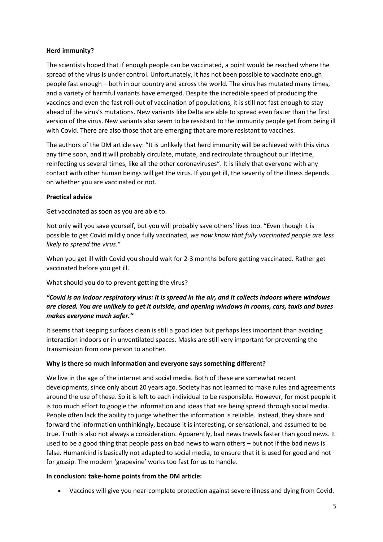#### **Herd immunity?**

The scientists hoped that if enough people can be vaccinated, a point would be reached where the spread of the virus is under control. Unfortunately, it has not been possible to vaccinate enough people fast enough – both in our country and across the world. The virus has mutated many times, and a variety of harmful variants have emerged. Despite the incredible speed of producing the vaccines and even the fast roll-out of vaccination of populations, it is still not fast enough to stay ahead of the virus's mutations. New variants like Delta are able to spread even faster than the first version of the virus. New variants also seem to be resistant to the immunity people get from being ill with Covid. There are also those that are emerging that are more resistant to vaccines.

The authors of the DM article say: "It is unlikely that herd immunity will be achieved with this virus any time soon, and it will probably circulate, mutate, and recirculate throughout our lifetime, reinfecting us several times, like all the other coronaviruses". It is likely that everyone with any contact with other human beings will get the virus. If you get ill, the severity of the illness depends on whether you are vaccinated or not.

#### **Practical advice**

Get vaccinated as soon as you are able to.

Not only will you save yourself, but you will probably save others' lives too. "Even though it is possible to get Covid mildly once fully vaccinated, *we now know that fully vaccinated people are less likely to spread the virus.*"

When you get ill with Covid you should wait for 2-3 months before getting vaccinated. Rather get vaccinated before you get ill.

What should you do to prevent getting the virus?

# *"Covid is an indoor respiratory virus: it is spread in the air, and it collects indoors where windows are closed. You are unlikely to get it outside, and opening windows in rooms, cars, taxis and buses makes everyone much safer."*

It seems that keeping surfaces clean is still a good idea but perhaps less important than avoiding interaction indoors or in unventilated spaces. Masks are still very important for preventing the transmission from one person to another.

## **Why is there so much information and everyone says something different?**

We live in the age of the internet and social media. Both of these are somewhat recent developments, since only about 20 years ago. Society has not learned to make rules and agreements around the use of these. So it is left to each individual to be responsible. However, for most people it is too much effort to google the information and ideas that are being spread through social media. People often lack the ability to judge whether the information is reliable. Instead, they share and forward the information unthinkingly, because it is interesting, or sensational, and assumed to be true. Truth is also not always a consideration. Apparently, bad news travels faster than good news. It used to be a good thing that people pass on bad news to warn others – but not if the bad news is false. Humankind is basically not adapted to social media, to ensure that it is used for good and not for gossip. The modern 'grapevine' works too fast for us to handle.

#### **In conclusion: take-home points from the DM article:**

Vaccines will give you near-complete protection against severe illness and dying from Covid.